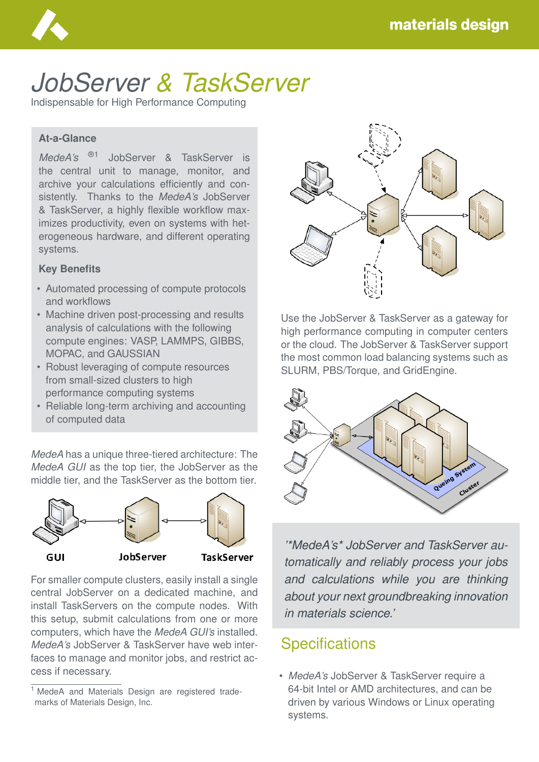

# *JobServer & TaskServer*

Indispensable for High Performance Computing

#### **At-a-Glance**

*MedeA's* ®1 JobServer & TaskServer is the central unit to manage, monitor, and archive your calculations efficiently and consistently. Thanks to the *MedeA's* JobServer & TaskServer, a highly flexible workflow maximizes productivity, even on systems with heterogeneous hardware, and different operating systems.

#### **Key Benefits**

- Automated processing of compute protocols and workflows
- Machine driven post-processing and results analysis of calculations with the following compute engines: VASP, LAMMPS, GIBBS, MOPAC, and GAUSSIAN
- Robust leveraging of compute resources from small-sized clusters to high performance computing systems
- Reliable long-term archiving and accounting of computed data

*MedeA* has a unique three-tiered architecture: The *MedeA GUI* as the top tier, the JobServer as the middle tier, and the TaskServer as the bottom tier.



For smaller compute clusters, easily install a single central JobServer on a dedicated machine, and install TaskServers on the compute nodes. With this setup, submit calculations from one or more computers, which have the *MedeA GUI's* installed. *MedeA's* JobServer & TaskServer have web interfaces to manage and monitor jobs, and restrict access if necessary.



Use the JobServer & TaskServer as a gateway for high performance computing in computer centers or the cloud. The JobServer & TaskServer support the most common load balancing systems such as SLURM, PBS/Torque, and GridEngine.



*'\*MedeA's\* JobServer and TaskServer automatically and reliably process your jobs and calculations while you are thinking about your next groundbreaking innovation in materials science.'*

### **Specifications**

• *MedeA's* JobServer & TaskServer require a 64-bit Intel or AMD architectures, and can be driven by various Windows or Linux operating systems.

<sup>&</sup>lt;sup>1</sup> MedeA and Materials Design are registered trademarks of Materials Design, Inc.